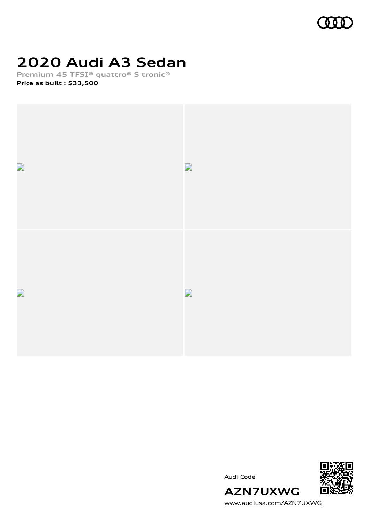

# **2020 Audi A3 Sedan**

**Premium 45 TFSI® quattro® S tronic® Price as built [:](#page-10-0) \$33,500**



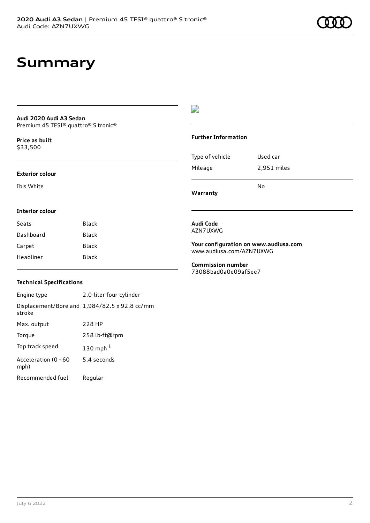### **Summary**

#### **Audi 2020 Audi A3 Sedan** Premium 45 TFSI® quattro® S tronic®

**Price as buil[t](#page-10-0)** \$33,500

#### **Exterior colour**

Ibis White

### $\overline{\phantom{a}}$

#### **Further Information**

|                 | N٥          |
|-----------------|-------------|
| Mileage         | 2,951 miles |
| Type of vehicle | Used car    |

**Warranty**

#### **Interior colour**

| Black |
|-------|
| Black |
| Black |
| Black |
|       |

#### **Audi Code** AZN7UXWG

**Your configuration on www.audiusa.com** [www.audiusa.com/AZN7UXWG](https://www.audiusa.com/AZN7UXWG)

#### **Commission number** 73088bad0a0e09af5ee7

#### **Technical Specifications**

| Engine type                  | 2.0-liter four-cylinder                       |
|------------------------------|-----------------------------------------------|
| stroke                       | Displacement/Bore and 1,984/82.5 x 92.8 cc/mm |
| Max. output                  | 228 HP                                        |
| Torque                       | 258 lb-ft@rpm                                 |
| Top track speed              | 130 mph $1$                                   |
| Acceleration (0 - 60<br>mph) | 5.4 seconds                                   |
| Recommended fuel             | Regular                                       |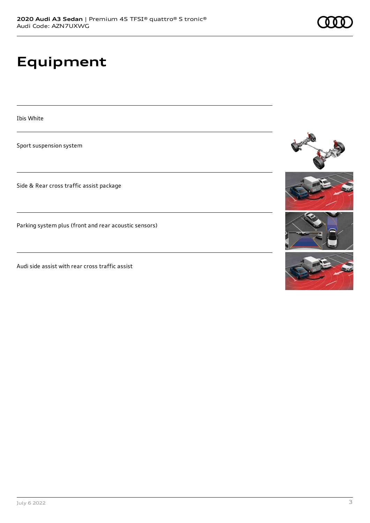# **Equipment**

Ibis White

Sport suspension system

Side & Rear cross traffic assist package

Parking system plus (front and rear acoustic sensors)

Audi side assist with rear cross traffic assist







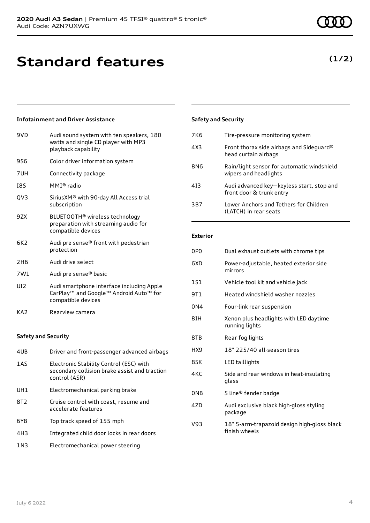**Standard features**

### **Infotainment and Driver Assistance**

| 9VD             | Audi sound system with ten speakers, 180<br>watts and single CD player with MP3<br>playback capability    |
|-----------------|-----------------------------------------------------------------------------------------------------------|
| <b>9S6</b>      | Color driver information system                                                                           |
| 7UH             | Connectivity package                                                                                      |
| <b>I8S</b>      | MMI <sup>®</sup> radio                                                                                    |
| QV3             | SiriusXM® with 90-day All Access trial<br>subscription                                                    |
| 97X             | BLUETOOTH <sup>®</sup> wireless technology<br>preparation with streaming audio for<br>compatible devices  |
| 6K <sub>2</sub> | Audi pre sense® front with pedestrian<br>protection                                                       |
| 2H <sub>6</sub> | Audi drive select                                                                                         |
| 7W1             | Audi pre sense® basic                                                                                     |
| UI <sub>2</sub> | Audi smartphone interface including Apple<br>CarPlay™ and Google™ Android Auto™ for<br>compatible devices |
| KA2             | Rearview camera                                                                                           |

### **Safety and Security**

| 4UB             | Driver and front-passenger advanced airbags                                                               |
|-----------------|-----------------------------------------------------------------------------------------------------------|
| 1AS             | Electronic Stability Control (ESC) with<br>secondary collision brake assist and traction<br>control (ASR) |
| UH1             | Electromechanical parking brake                                                                           |
| 8T <sub>2</sub> | Cruise control with coast, resume and<br>accelerate features                                              |
| 6Y8             | Top track speed of 155 mph                                                                                |
| 4H <sub>3</sub> | Integrated child door locks in rear doors                                                                 |
| 1N <sub>3</sub> | Electromechanical power steering                                                                          |

### **Safety and Security**

| 7K6 | Tire-pressure monitoring system                                              |
|-----|------------------------------------------------------------------------------|
| 4X3 | Front thorax side airbags and Sideguard <sup>®</sup><br>head curtain airbags |
| 8N6 | Rain/light sensor for automatic windshield<br>wipers and headlights          |
| 413 | Audi advanced key-keyless start, stop and<br>front door & trunk entry        |
| 3B7 | Lower Anchors and Tethers for Children<br>(LATCH) in rear seats              |

### **Exterior**

| 0P <sub>0</sub> | Dual exhaust outlets with chrome tips                        |
|-----------------|--------------------------------------------------------------|
| 6XD             | Power-adjustable, heated exterior side<br>mirrors            |
| 1S1             | Vehicle tool kit and vehicle jack                            |
| 9T1             | Heated windshield washer nozzles                             |
| 0 <sub>N4</sub> | Four-link rear suspension                                    |
| 8IH             | Xenon plus headlights with LED daytime<br>running lights     |
| 8TB             | Rear fog lights                                              |
| HX9             | 18" 225/40 all-season tires                                  |
| 8SK             | LED taillights                                               |
| 4KC             | Side and rear windows in heat-insulating<br>glass            |
| 0 <sub>NB</sub> | S line® fender badge                                         |
| 4ZD             | Audi exclusive black high-gloss styling<br>package           |
| V93             | 18" 5-arm-trapazoid design high-gloss black<br>finish wheels |
|                 |                                                              |

### **(1/2)**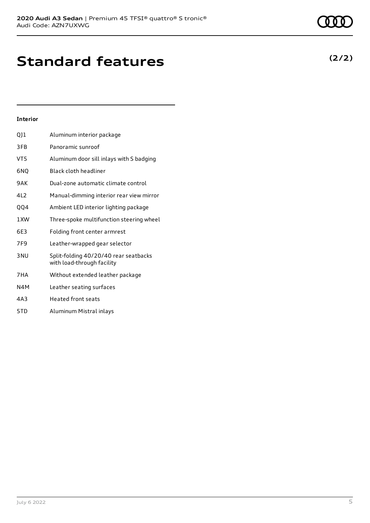# **Standard features**

### **Interior**

| 011             | Aluminum interior package                                           |
|-----------------|---------------------------------------------------------------------|
| 3FB             | Panoramic sunroof                                                   |
| VT5             | Aluminum door sill inlays with S badging                            |
| 6NO             | Black cloth headliner                                               |
| 9AK             | Dual-zone automatic climate control                                 |
| 4L <sub>2</sub> | Manual-dimming interior rear view mirror                            |
| QQ4             | Ambient LED interior lighting package                               |
| 1XW             | Three-spoke multifunction steering wheel                            |
| 6E3             | Folding front center armrest                                        |
| 7F9             | Leather-wrapped gear selector                                       |
| 3NU             | Split-folding 40/20/40 rear seatbacks<br>with load-through facility |
| 7HA             | Without extended leather package                                    |
| N4M             | Leather seating surfaces                                            |
| 4A3             | Heated front seats                                                  |
| 5TD             | Aluminum Mistral inlays                                             |

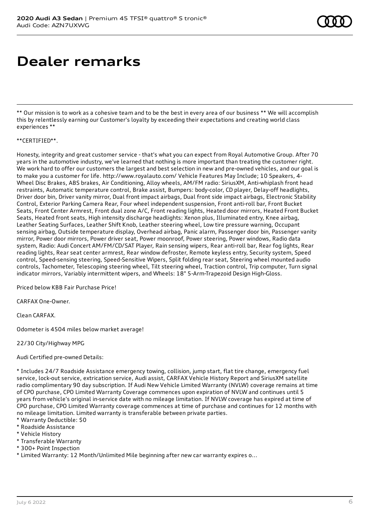## **Dealer remarks**

\*\* Our mission is to work as a cohesive team and to be the best in every area of our business \*\* We will accomplish this by relentlessly earning our Customer's loyalty by exceeding their expectations and creating world class experiences \*\*

#### \*\*CERTIFIED\*\*.

Honesty, integrity and great customer service - that's what you can expect from Royal Automotive Group. After 70 years in the automotive industry, we've learned that nothing is more important than treating the customer right. We work hard to offer our customers the largest and best selection in new and pre-owned vehicles, and our goal is to make you a customer for life. http://www.royalauto.com/ Vehicle Features May Include; 10 Speakers, 4- Wheel Disc Brakes, ABS brakes, Air Conditioning, Alloy wheels, AM/FM radio: SiriusXM, Anti-whiplash front head restraints, Automatic temperature control, Brake assist, Bumpers: body-color, CD player, Delay-off headlights, Driver door bin, Driver vanity mirror, Dual front impact airbags, Dual front side impact airbags, Electronic Stability Control, Exterior Parking Camera Rear, Four wheel independent suspension, Front anti-roll bar, Front Bucket Seats, Front Center Armrest, Front dual zone A/C, Front reading lights, Heated door mirrors, Heated Front Bucket Seats, Heated front seats, High intensity discharge headlights: Xenon plus, Illuminated entry, Knee airbag, Leather Seating Surfaces, Leather Shift Knob, Leather steering wheel, Low tire pressure warning, Occupant sensing airbag, Outside temperature display, Overhead airbag, Panic alarm, Passenger door bin, Passenger vanity mirror, Power door mirrors, Power driver seat, Power moonroof, Power steering, Power windows, Radio data system, Radio: Audi Concert AM/FM/CD/SAT Player, Rain sensing wipers, Rear anti-roll bar, Rear fog lights, Rear reading lights, Rear seat center armrest, Rear window defroster, Remote keyless entry, Security system, Speed control, Speed-sensing steering, Speed-Sensitive Wipers, Split folding rear seat, Steering wheel mounted audio controls, Tachometer, Telescoping steering wheel, Tilt steering wheel, Traction control, Trip computer, Turn signal indicator mirrors, Variably intermittent wipers, and Wheels: 18" 5-Arm-Trapezoid Design High-Gloss.

Priced below KBB Fair Purchase Price!

CARFAX One-Owner.

Clean CARFAX.

Odometer is 4504 miles below market average!

22/30 City/Highway MPG

Audi Certified pre-owned Details:

\* Includes 24/7 Roadside Assistance emergency towing, collision, jump start, flat tire change, emergency fuel service, lock-out service, extrication service, Audi assist, CARFAX Vehicle History Report and SiriusXM satellite radio complimentary 90 day subscription. If Audi New Vehicle Limited Warranty (NVLW) coverage remains at time of CPO purchase, CPO Limited Warranty Coverage commences upon expiration of NVLW and continues until 5 years from vehicle's original in-service date with no mileage limitation. If NVLW coverage has expired at time of CPO purchase, CPO Limited Warranty coverage commences at time of purchase and continues for 12 months with no mileage limitation. Limited warranty is transferable between private parties.

- \* Warranty Deductible: \$0
- \* Roadside Assistance
- \* Vehicle History
- \* Transferable Warranty
- \* 300+ Point Inspection
- \* Limited Warranty: 12 Month/Unlimited Mile beginning after new car warranty expires o...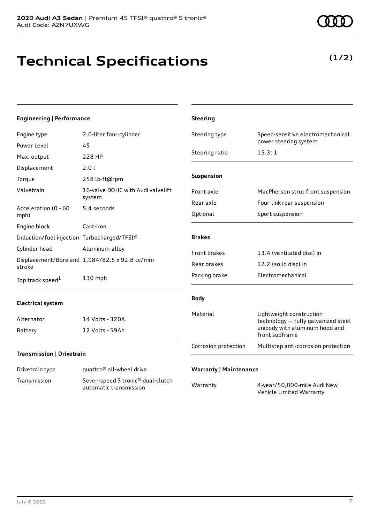# **Technical Specifications**

**(1/2)**

#### **Engineering | Performance** Engine type 2.0-liter four-cylinder Power Level 45 Max. output 228 HP Displacement 2.0 l Torque 258 lb-ft@rpm Valvetrain 16-valve DOHC with Audi valvelift system Acceleration (0 - 60 mph) 5.4 seconds Engine block Cast-iron Induction/fuel injection Turbocharged/TFSI® Cylinder head Aluminum-alloy Displacement/Bore and 1,984/82.5 x 92.8 cc/mm stroke Top track speed<sup>1</sup> [1](#page-10-0) 130 mph **Electrical system** Alternator 14 Volts - 320A Battery 12 Volts - 59Ah **Transmission | Drivetrain** Drivetrain type quattro® all-wheel drive **Steering** Steering type Speed-sensitive electromechanical power steering system Steering ratio 15.3:1 **Suspension** Front axle MacPherson strut front suspension Rear axle Four-link rear suspension Optional Sport suspension **Brakes** Front brakes 13.4 (ventilated disc) in Rear brakes 12.2 (solid disc) in Parking brake Electromechanical **Body** Material Lightweight construction technology — fully galvanized steel unibody with aluminum hood and front subframe Corrosion protection Multistep anti-corrosion protection **Warranty | Maintenance**

| Transmission | Seven-speed S tronic <sup>®</sup> dual-clutch<br>automatic transmission |
|--------------|-------------------------------------------------------------------------|
|              |                                                                         |

Warranty 4-year/50,000-mile Audi New Vehicle Limited Warranty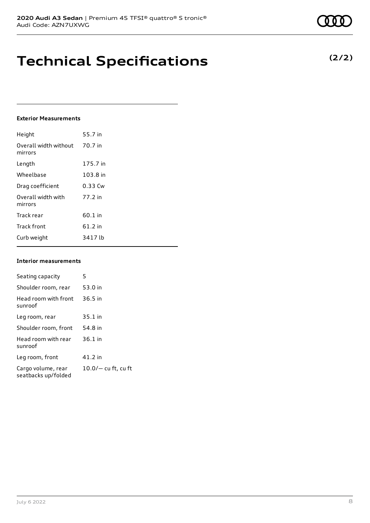| July 6 2022 | $\circ$<br>o |
|-------------|--------------|
|             |              |

# **Technical Specifications**

### **Exterior Measurements**

| Height                           | 55.7 in   |
|----------------------------------|-----------|
| Overall width without<br>mirrors | 70.7 in   |
| Length                           | 175.7 in  |
| Wheelbase                        | 103.8 in  |
| Drag coefficient                 | $0.33$ Cw |
| Overall width with<br>mirrors    | 77.2 in   |
| Track rear                       | $60.1$ in |
| <b>Track front</b>               | 61.2 in   |
| Curb weight                      | 3417 lb   |

### **Interior measurements**

| Seating capacity                          | 5                     |
|-------------------------------------------|-----------------------|
| Shoulder room, rear                       | 53.0 in               |
| Head room with front<br>sunroof           | 36.5 in               |
| Leg room, rear                            | 35.1 in               |
| Shoulder room, front                      | 54.8 in               |
| Head room with rear<br>sunroof            | $36.1$ in             |
| Leg room, front                           | 41.2 in               |
| Cargo volume, rear<br>seatbacks up/folded | $10.0/-$ cu ft, cu ft |

### **(2/2)**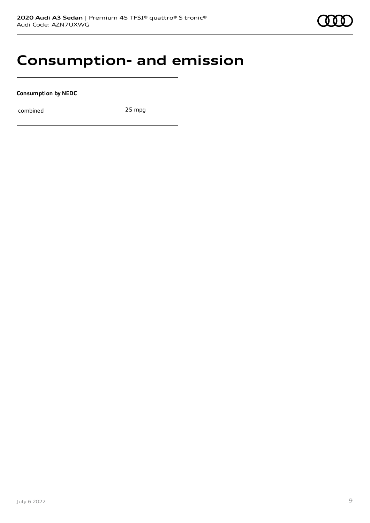### **Consumption- and emission**

**Consumption by NEDC**

combined 25 mpg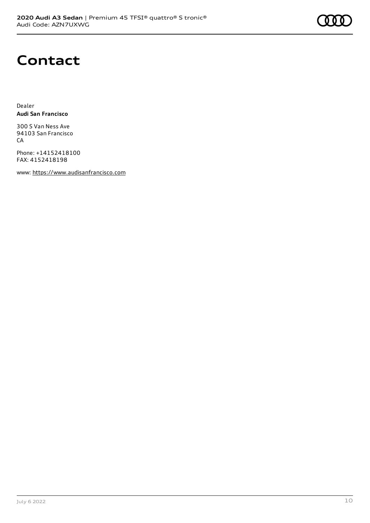

### **Contact**

Dealer **Audi San Francisco**

300 S Van Ness Ave 94103 San Francisco **CA** 

Phone: +14152418100 FAX: 4152418198

www: [https://www.audisanfrancisco.com](https://www.audisanfrancisco.com/)